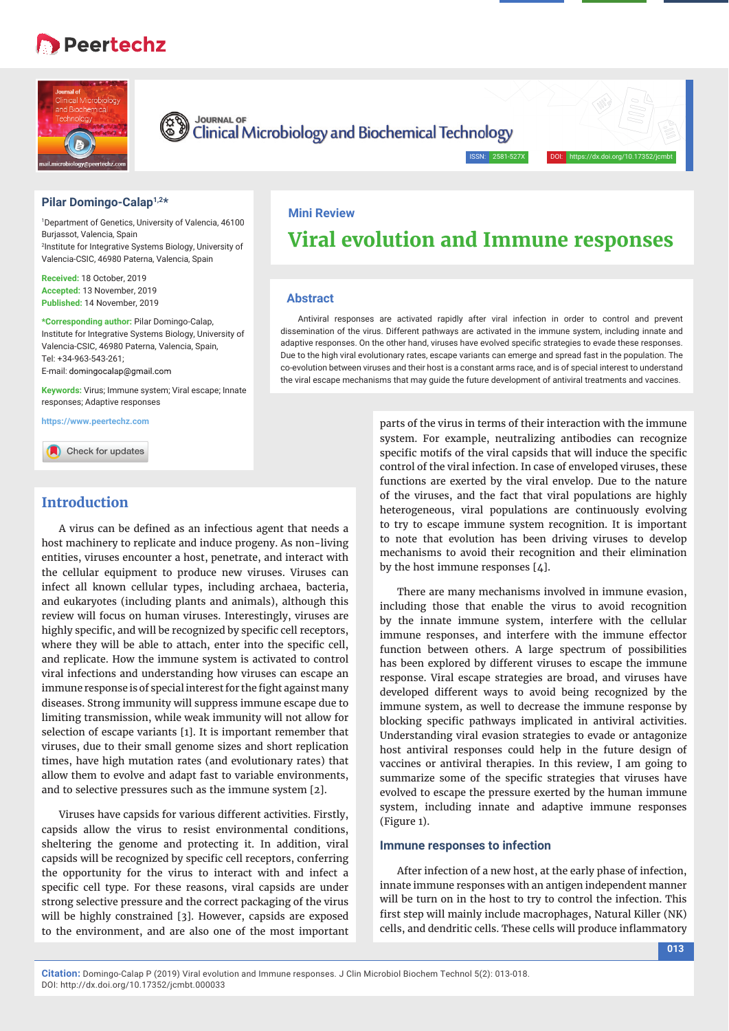# **Peertechz**



Clinical Microbiology and Biochemical Technology

## **Pilar Domingo-Calap1,2\***

1 Department of Genetics, University of Valencia, 46100 Burjassot, Valencia, Spain 2 Institute for Integrative Systems Biology, University of Valencia-CSIC, 46980 Paterna, Valencia, Spain

**JOURNAL OF** 

**Received:** 18 October, 2019 **Accepted:** 13 November, 2019 **Published:** 14 November, 2019

**\*Corresponding author:** Pilar Domingo-Calap, Institute for Integrative Systems Biology, University of Valencia-CSIC, 46980 Paterna, Valencia, Spain, Tel: +34-963-543-261; E-mail: domingocalap@gmail.com

**Keywords:** Virus; Immune system; Viral escape; Innate responses; Adaptive responses

Check for updates

# **Introduction**

A virus can be defined as an infectious agent that needs a host machinery to replicate and induce progeny. As non-living entities, viruses encounter a host, penetrate, and interact with the cellular equipment to produce new viruses. Viruses can infect all known cellular types, including archaea, bacteria, and eukaryotes (including plants and animals), although this review will focus on human viruses. Interestingly, viruses are highly specific, and will be recognized by specific cell receptors, where they will be able to attach, enter into the specific cell, and replicate. How the immune system is activated to control viral infections and understanding how viruses can escape an immune response is of special interest for the fight against many diseases. Strong immunity will suppress immune escape due to limiting transmission, while weak immunity will not allow for selection of escape variants [1]. It is important remember that viruses, due to their small genome sizes and short replication times, have high mutation rates (and evolutionary rates) that allow them to evolve and adapt fast to variable environments, and to selective pressures such as the immune system [2].

Viruses have capsids for various different activities. Firstly, capsids allow the virus to resist environmental conditions, sheltering the genome and protecting it. In addition, viral capsids will be recognized by specific cell receptors, conferring the opportunity for the virus to interact with and infect a specific cell type. For these reasons, viral capsids are under strong selective pressure and the correct packaging of the virus will be highly constrained [3]. However, capsids are exposed to the environment, and are also one of the most important

### **Mini Review**

# **Viral evolution and Immune responses**

ISSN: 2581-527X

#### **Abstract**

Antiviral responses are activated rapidly after viral infection in order to control and prevent dissemination of the virus. Different pathways are activated in the immune system, including innate and adaptive responses. On the other hand, viruses have evolved specific strategies to evade these responses. Due to the high viral evolutionary rates, escape variants can emerge and spread fast in the population. The co-evolution between viruses and their host is a constant arms race, and is of special interest to understand the viral escape mechanisms that may guide the future development of antiviral treatments and vaccines.

**https://www.peertechz.com** parts of the virus in terms of their interaction with the immune system. For example, neutralizing antibodies can recognize specific motifs of the viral capsids that will induce the specific control of the viral infection. In case of enveloped viruses, these functions are exerted by the viral envelop. Due to the nature of the viruses, and the fact that viral populations are highly heterogeneous, viral populations are continuously evolving to try to escape immune system recognition. It is important to note that evolution has been driving viruses to develop mechanisms to avoid their recognition and their elimination by the host immune responses [4].

> There are many mechanisms involved in immune evasion, including those that enable the virus to avoid recognition by the innate immune system, interfere with the cellular immune responses, and interfere with the immune effector function between others. A large spectrum of possibilities has been explored by different viruses to escape the immune response. Viral escape strategies are broad, and viruses have developed different ways to avoid being recognized by the immune system, as well to decrease the immune response by blocking specific pathways implicated in antiviral activities. Understanding viral evasion strategies to evade or antagonize host antiviral responses could help in the future design of vaccines or antiviral therapies. In this review, I am going to summarize some of the specific strategies that viruses have evolved to escape the pressure exerted by the human immune system, including innate and adaptive immune responses (Figure 1).

#### **Immune responses to infection**

After infection of a new host, at the early phase of infection, innate immune responses with an antigen independent manner will be turn on in the host to try to control the infection. This first step will mainly include macrophages, Natural Killer (NK) cells, and dendritic cells. These cells will produce inflammatory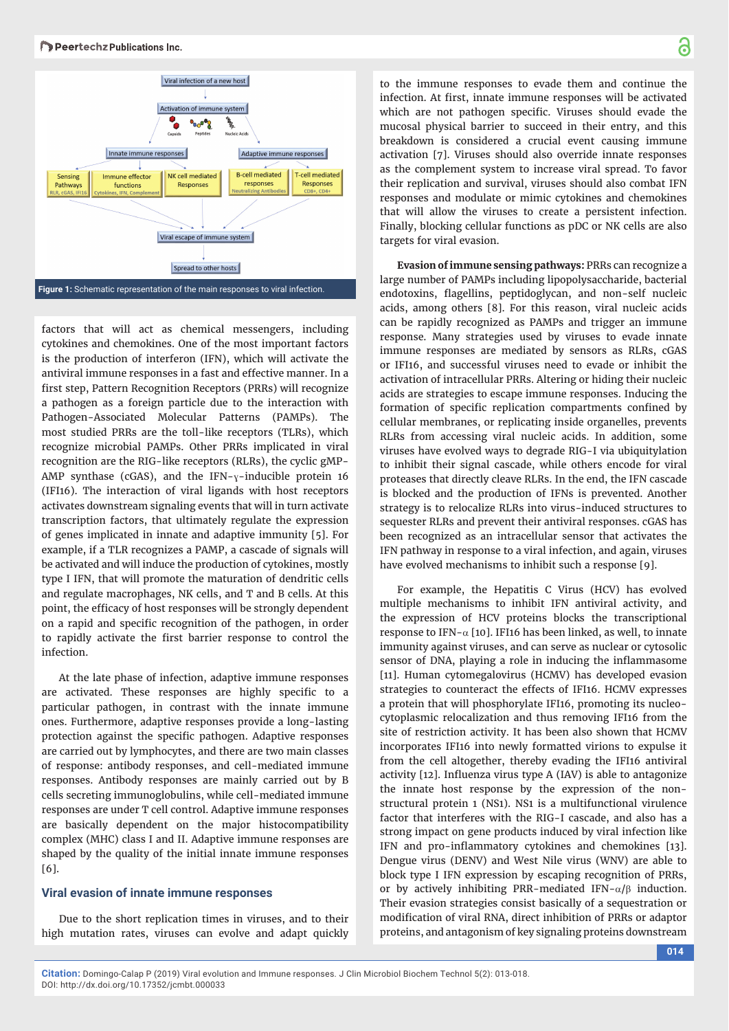

factors that will act as chemical messengers, including cytokines and chemokines. One of the most important factors is the production of interferon (IFN), which will activate the antiviral immune responses in a fast and effective manner. In a first step, Pattern Recognition Receptors (PRRs) will recognize a pathogen as a foreign particle due to the interaction with Pathogen-Associated Molecular Patterns (PAMPs). The most studied PRRs are the toll-like receptors (TLRs), which recognize microbial PAMPs. Other PRRs implicated in viral recognition are the RIG-like receptors (RLRs), the cyclic gMP-AMP synthase (cGAS), and the IFN- $y$ -inducible protein 16 (IFI16). The interaction of viral ligands with host receptors activates downstream signaling events that will in turn activate transcription factors, that ultimately regulate the expression of genes implicated in innate and adaptive immunity [5]. For example, if a TLR recognizes a PAMP, a cascade of signals will be activated and will induce the production of cytokines, mostly type I IFN, that will promote the maturation of dendritic cells and regulate macrophages, NK cells, and T and B cells. At this point, the efficacy of host responses will be strongly dependent on a rapid and specific recognition of the pathogen, in order to rapidly activate the first barrier response to control the infection.

At the late phase of infection, adaptive immune responses are activated. These responses are highly specific to a particular pathogen, in contrast with the innate immune ones. Furthermore, adaptive responses provide a long-lasting protection against the specific pathogen. Adaptive responses are carried out by lymphocytes, and there are two main classes of response: antibody responses, and cell-mediated immune responses. Antibody responses are mainly carried out by B cells secreting immunoglobulins, while cell-mediated immune responses are under T cell control. Adaptive immune responses are basically dependent on the major histocompatibility complex (MHC) class I and II. Adaptive immune responses are shaped by the quality of the initial innate immune responses [6].

# **Viral evasion of innate immune responses**

Due to the short replication times in viruses, and to their high mutation rates, viruses can evolve and adapt quickly

to the immune responses to evade them and continue the infection. At first, innate immune responses will be activated which are not pathogen specific. Viruses should evade the mucosal physical barrier to succeed in their entry, and this breakdown is considered a crucial event causing immune activation [7]. Viruses should also override innate responses as the complement system to increase viral spread. To favor their replication and survival, viruses should also combat IFN responses and modulate or mimic cytokines and chemokines that will allow the viruses to create a persistent infection. Finally, blocking cellular functions as pDC or NK cells are also targets for viral evasion.

**Evasion of immune sensing pathways:** PRRs can recognize a large number of PAMPs including lipopolysaccharide, bacterial endotoxins, flagellins, peptidoglycan, and non-self nucleic acids, among others [8]. For this reason, viral nucleic acids can be rapidly recognized as PAMPs and trigger an immune response. Many strategies used by viruses to evade innate immune responses are mediated by sensors as RLRs, cGAS or IFI16, and successful viruses need to evade or inhibit the activation of intracellular PRRs. Altering or hiding their nucleic acids are strategies to escape immune responses. Inducing the formation of specific replication compartments confined by cellular membranes, or replicating inside organelles, prevents RLRs from accessing viral nucleic acids. In addition, some viruses have evolved ways to degrade RIG-I via ubiquitylation to inhibit their signal cascade, while others encode for viral proteases that directly cleave RLRs. In the end, the IFN cascade is blocked and the production of IFNs is prevented. Another strategy is to relocalize RLRs into virus-induced structures to sequester RLRs and prevent their antiviral responses. cGAS has been recognized as an intracellular sensor that activates the IFN pathway in response to a viral infection, and again, viruses have evolved mechanisms to inhibit such a response [9].

For example, the Hepatitis C Virus (HCV) has evolved multiple mechanisms to inhibit IFN antiviral activity, and the expression of HCV proteins blocks the transcriptional response to IFN- $\alpha$  [10]. IFI16 has been linked, as well, to innate immunity against viruses, and can serve as nuclear or cytosolic sensor of DNA, playing a role in inducing the inflammasome [11]. Human cytomegalovirus (HCMV) has developed evasion strategies to counteract the effects of IFI16. HCMV expresses a protein that will phosphorylate IFI16, promoting its nucleocytoplasmic relocalization and thus removing IFI16 from the site of restriction activity. It has been also shown that HCMV incorporates IFI16 into newly formatted virions to expulse it from the cell altogether, thereby evading the IFI16 antiviral activity [12]. Influenza virus type A (IAV) is able to antagonize the innate host response by the expression of the nonstructural protein 1 (NS1). NS1 is a multifunctional virulence factor that interferes with the RIG-I cascade, and also has a strong impact on gene products induced by viral infection like IFN and pro-inflammatory cytokines and chemokines [13]. Dengue virus (DENV) and West Nile virus (WNV) are able to block type I IFN expression by escaping recognition of PRRs, or by actively inhibiting PRR-mediated IFN- $\alpha/\beta$  induction. Their evasion strategies consist basically of a sequestration or modification of viral RNA, direct inhibition of PRRs or adaptor proteins, and antagonism of key signaling proteins downstream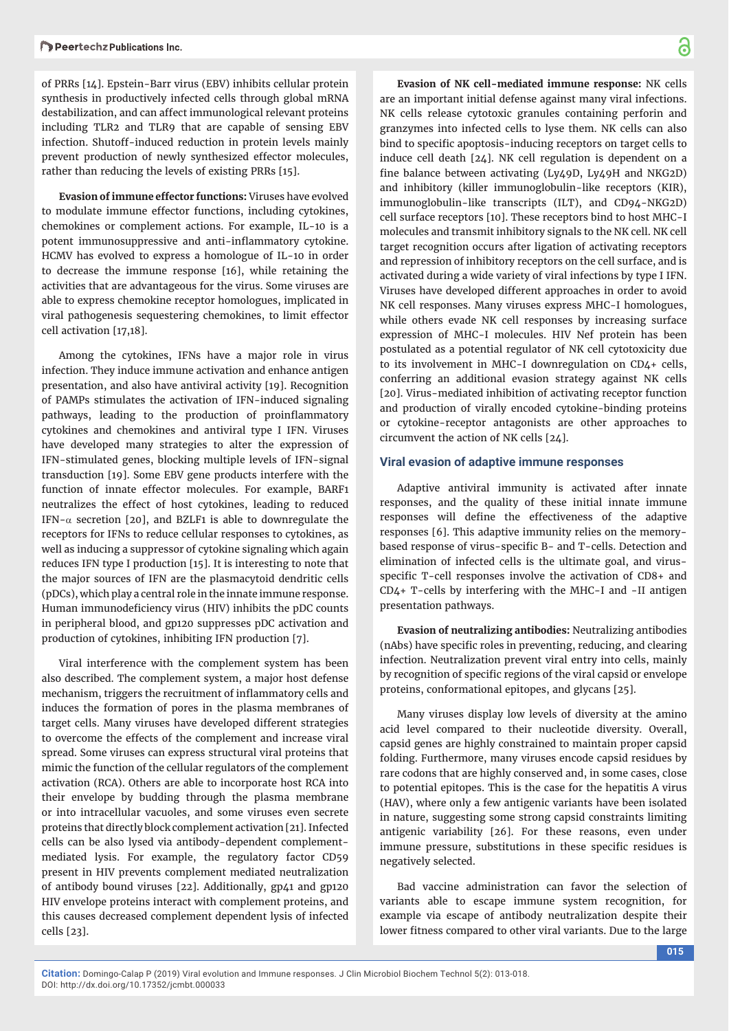of PRRs [14]. Epstein-Barr virus (EBV) inhibits cellular protein synthesis in productively infected cells through global mRNA destabilization, and can affect immunological relevant proteins including TLR2 and TLR9 that are capable of sensing EBV infection. Shutoff-induced reduction in protein levels mainly prevent production of newly synthesized effector molecules, rather than reducing the levels of existing PRRs [15].

**Evasion of immune effector functions:** Viruses have evolved to modulate immune effector functions, including cytokines, chemokines or complement actions. For example, IL-10 is a potent immunosuppressive and anti-inflammatory cytokine. HCMV has evolved to express a homologue of IL-10 in order to decrease the immune response [16], while retaining the activities that are advantageous for the virus. Some viruses are able to express chemokine receptor homologues, implicated in viral pathogenesis sequestering chemokines, to limit effector cell activation [17,18].

Among the cytokines, IFNs have a major role in virus infection. They induce immune activation and enhance antigen presentation, and also have antiviral activity [19]. Recognition of PAMPs stimulates the activation of IFN-induced signaling pathways, leading to the production of proinflammatory cytokines and chemokines and antiviral type I IFN. Viruses have developed many strategies to alter the expression of IFN-stimulated genes, blocking multiple levels of IFN-signal transduction [19]. Some EBV gene products interfere with the function of innate effector molecules. For example, BARF1 neutralizes the effect of host cytokines, leading to reduced IFN- $\alpha$  secretion [20], and BZLF1 is able to downregulate the receptors for IFNs to reduce cellular responses to cytokines, as well as inducing a suppressor of cytokine signaling which again reduces IFN type I production [15]. It is interesting to note that the major sources of IFN are the plasmacytoid dendritic cells (pDCs), which play a central role in the innate immune response. Human immunodeficiency virus (HIV) inhibits the pDC counts in peripheral blood, and gp120 suppresses pDC activation and production of cytokines, inhibiting IFN production [7].

Viral interference with the complement system has been also described. The complement system, a major host defense mechanism, triggers the recruitment of inflammatory cells and induces the formation of pores in the plasma membranes of target cells. Many viruses have developed different strategies to overcome the effects of the complement and increase viral spread. Some viruses can express structural viral proteins that mimic the function of the cellular regulators of the complement activation (RCA). Others are able to incorporate host RCA into their envelope by budding through the plasma membrane or into intracellular vacuoles, and some viruses even secrete proteins that directly block complement activation [21]. Infected cells can be also lysed via antibody-dependent complementmediated lysis. For example, the regulatory factor CD59 present in HIV prevents complement mediated neutralization of antibody bound viruses [22]. Additionally, gp41 and gp120 HIV envelope proteins interact with complement proteins, and this causes decreased complement dependent lysis of infected cells [23].

**Evasion of NK cell-mediated immune response:** NK cells are an important initial defense against many viral infections. NK cells release cytotoxic granules containing perforin and granzymes into infected cells to lyse them. NK cells can also bind to specific apoptosis-inducing receptors on target cells to induce cell death [24]. NK cell regulation is dependent on a fine balance between activating (Ly49D, Ly49H and NKG2D) and inhibitory (killer immunoglobulin-like receptors (KIR), immunoglobulin-like transcripts (ILT), and CD94-NKG2D) cell surface receptors [10]. These receptors bind to host MHC-I molecules and transmit inhibitory signals to the NK cell. NK cell target recognition occurs after ligation of activating receptors and repression of inhibitory receptors on the cell surface, and is activated during a wide variety of viral infections by type I IFN. Viruses have developed different approaches in order to avoid NK cell responses. Many viruses express MHC-I homologues, while others evade NK cell responses by increasing surface expression of MHC-I molecules. HIV Nef protein has been postulated as a potential regulator of NK cell cytotoxicity due to its involvement in MHC-I downregulation on CD4+ cells, conferring an additional evasion strategy against NK cells [20]. Virus-mediated inhibition of activating receptor function and production of virally encoded cytokine-binding proteins or cytokine-receptor antagonists are other approaches to circumvent the action of NK cells [24].

#### **Viral evasion of adaptive immune responses**

Adaptive antiviral immunity is activated after innate responses, and the quality of these initial innate immune responses will define the effectiveness of the adaptive responses [6]. This adaptive immunity relies on the memorybased response of virus-specific B- and T-cells. Detection and elimination of infected cells is the ultimate goal, and virusspecific T-cell responses involve the activation of CD8+ and CD4+ T-cells by interfering with the MHC-I and -II antigen presentation pathways.

**Evasion of neutralizing antibodies:** Neutralizing antibodies (nAbs) have specific roles in preventing, reducing, and clearing infection. Neutralization prevent viral entry into cells, mainly by recognition of specific regions of the viral capsid or envelope proteins, conformational epitopes, and glycans [25].

Many viruses display low levels of diversity at the amino acid level compared to their nucleotide diversity. Overall, capsid genes are highly constrained to maintain proper capsid folding. Furthermore, many viruses encode capsid residues by rare codons that are highly conserved and, in some cases, close to potential epitopes. This is the case for the hepatitis A virus (HAV), where only a few antigenic variants have been isolated in nature, suggesting some strong capsid constraints limiting antigenic variability [26]. For these reasons, even under immune pressure, substitutions in these specific residues is negatively selected.

Bad vaccine administration can favor the selection of variants able to escape immune system recognition, for example via escape of antibody neutralization despite their lower fitness compared to other viral variants. Due to the large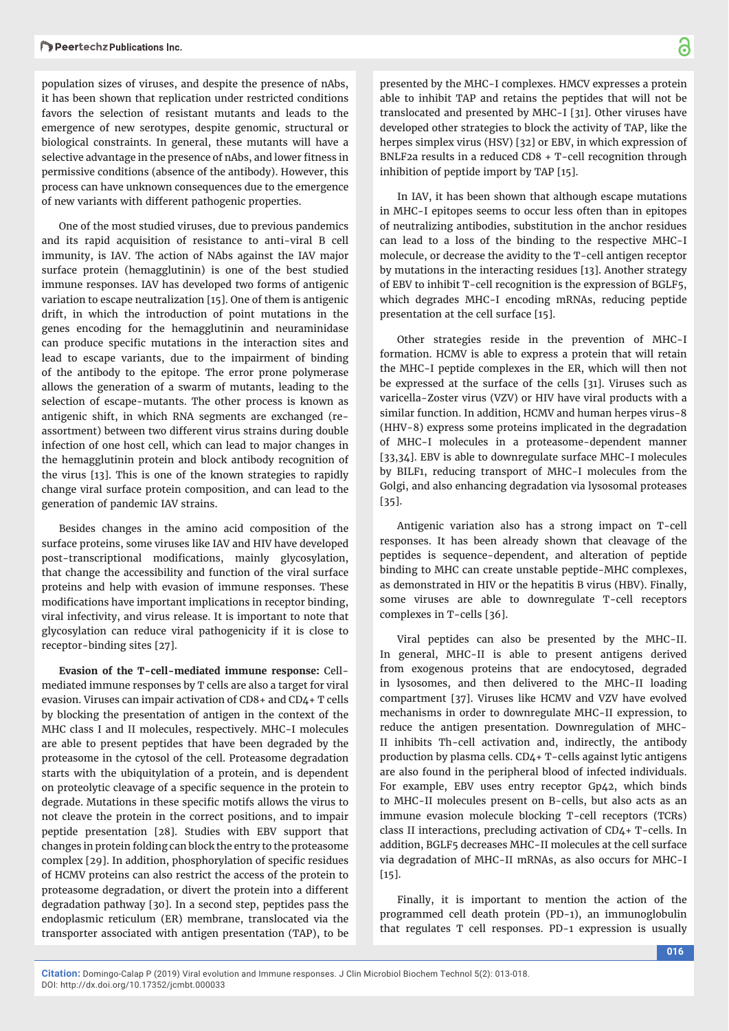population sizes of viruses, and despite the presence of nAbs, it has been shown that replication under restricted conditions favors the selection of resistant mutants and leads to the emergence of new serotypes, despite genomic, structural or biological constraints. In general, these mutants will have a selective advantage in the presence of nAbs, and lower fitness in permissive conditions (absence of the antibody). However, this process can have unknown consequences due to the emergence of new variants with different pathogenic properties.

One of the most studied viruses, due to previous pandemics and its rapid acquisition of resistance to anti-viral B cell immunity, is IAV. The action of NAbs against the IAV major surface protein (hemagglutinin) is one of the best studied immune responses. IAV has developed two forms of antigenic variation to escape neutralization [15]. One of them is antigenic drift, in which the introduction of point mutations in the genes encoding for the hemagglutinin and neuraminidase can produce specific mutations in the interaction sites and lead to escape variants, due to the impairment of binding of the antibody to the epitope. The error prone polymerase allows the generation of a swarm of mutants, leading to the selection of escape-mutants. The other process is known as antigenic shift, in which RNA segments are exchanged (reassortment) between two different virus strains during double infection of one host cell, which can lead to major changes in the hemagglutinin protein and block antibody recognition of the virus [13]. This is one of the known strategies to rapidly change viral surface protein composition, and can lead to the generation of pandemic IAV strains.

Besides changes in the amino acid composition of the surface proteins, some viruses like IAV and HIV have developed post-transcriptional modifications, mainly glycosylation, that change the accessibility and function of the viral surface proteins and help with evasion of immune responses. These modifications have important implications in receptor binding, viral infectivity, and virus release. It is important to note that glycosylation can reduce viral pathogenicity if it is close to receptor-binding sites [27].

**Evasion of the T-cell-mediated immune response:** Cellmediated immune responses by T cells are also a target for viral evasion. Viruses can impair activation of CD8+ and CD4+ T cells by blocking the presentation of antigen in the context of the MHC class I and II molecules, respectively. MHC-I molecules are able to present peptides that have been degraded by the proteasome in the cytosol of the cell. Proteasome degradation starts with the ubiquitylation of a protein, and is dependent on proteolytic cleavage of a specific sequence in the protein to degrade. Mutations in these specific motifs allows the virus to not cleave the protein in the correct positions, and to impair peptide presentation [28]. Studies with EBV support that changes in protein folding can block the entry to the proteasome complex [29]. In addition, phosphorylation of specific residues of HCMV proteins can also restrict the access of the protein to proteasome degradation, or divert the protein into a different degradation pathway [30]. In a second step, peptides pass the endoplasmic reticulum (ER) membrane, translocated via the transporter associated with antigen presentation (TAP), to be presented by the MHC-I complexes. HMCV expresses a protein able to inhibit TAP and retains the peptides that will not be translocated and presented by MHC-I [31]. Other viruses have developed other strategies to block the activity of TAP, like the herpes simplex virus (HSV) [32] or EBV, in which expression of BNLF2a results in a reduced CD8 + T-cell recognition through inhibition of peptide import by TAP [15].

In IAV, it has been shown that although escape mutations in MHC-I epitopes seems to occur less often than in epitopes of neutralizing antibodies, substitution in the anchor residues can lead to a loss of the binding to the respective MHC-I molecule, or decrease the avidity to the T-cell antigen receptor by mutations in the interacting residues [13]. Another strategy of EBV to inhibit T-cell recognition is the expression of BGLF5, which degrades MHC-I encoding mRNAs, reducing peptide presentation at the cell surface [15].

Other strategies reside in the prevention of MHC-I formation. HCMV is able to express a protein that will retain the MHC-I peptide complexes in the ER, which will then not be expressed at the surface of the cells [31]. Viruses such as varicella-Zoster virus (VZV) or HIV have viral products with a similar function. In addition, HCMV and human herpes virus-8 (HHV-8) express some proteins implicated in the degradation of MHC-I molecules in a proteasome-dependent manner [33,34]. EBV is able to downregulate surface MHC-I molecules by BILF1, reducing transport of MHC-I molecules from the Golgi, and also enhancing degradation via lysosomal proteases [35].

Antigenic variation also has a strong impact on T-cell responses. It has been already shown that cleavage of the peptides is sequence-dependent, and alteration of peptide binding to MHC can create unstable peptide-MHC complexes, as demonstrated in HIV or the hepatitis B virus (HBV). Finally, some viruses are able to downregulate T-cell receptors complexes in T-cells [36].

Viral peptides can also be presented by the MHC-II. In general, MHC-II is able to present antigens derived from exogenous proteins that are endocytosed, degraded in lysosomes, and then delivered to the MHC-II loading compartment [37]. Viruses like HCMV and VZV have evolved mechanisms in order to downregulate MHC-II expression, to reduce the antigen presentation. Downregulation of MHC-II inhibits Th-cell activation and, indirectly, the antibody production by plasma cells. CD4+ T-cells against lytic antigens are also found in the peripheral blood of infected individuals. For example, EBV uses entry receptor Gp42, which binds to MHC-II molecules present on B-cells, but also acts as an immune evasion molecule blocking T-cell receptors (TCRs) class II interactions, precluding activation of CD4+ T-cells. In addition, BGLF5 decreases MHC-II molecules at the cell surface via degradation of MHC-II mRNAs, as also occurs for MHC-I [15].

Finally, it is important to mention the action of the programmed cell death protein (PD-1), an immunoglobulin that regulates T cell responses. PD-1 expression is usually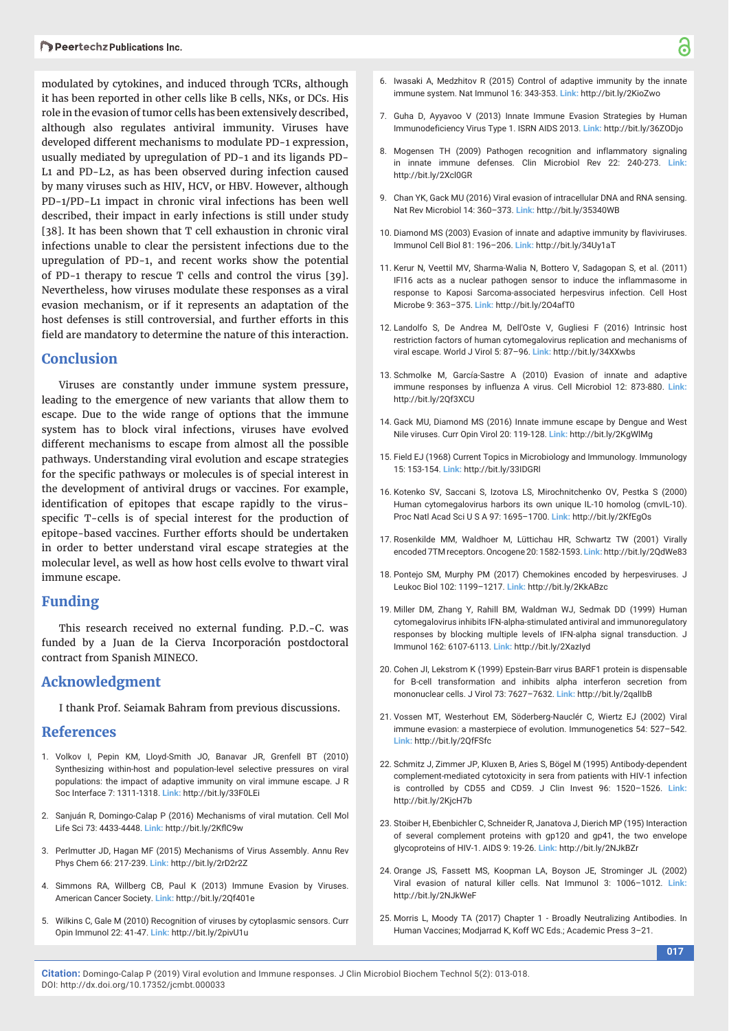modulated by cytokines, and induced through TCRs, although it has been reported in other cells like B cells, NKs, or DCs. His role in the evasion of tumor cells has been extensively described, although also regulates antiviral immunity. Viruses have developed different mechanisms to modulate PD-1 expression, usually mediated by upregulation of PD-1 and its ligands PD-L1 and PD-L2, as has been observed during infection caused by many viruses such as HIV, HCV, or HBV. However, although PD-1/PD-L1 impact in chronic viral infections has been well described, their impact in early infections is still under study [38]. It has been shown that T cell exhaustion in chronic viral infections unable to clear the persistent infections due to the upregulation of PD-1, and recent works show the potential of PD-1 therapy to rescue T cells and control the virus [39]. Nevertheless, how viruses modulate these responses as a viral evasion mechanism, or if it represents an adaptation of the host defenses is still controversial, and further efforts in this field are mandatory to determine the nature of this interaction.

## **Conclusion**

Viruses are constantly under immune system pressure, leading to the emergence of new variants that allow them to escape. Due to the wide range of options that the immune system has to block viral infections, viruses have evolved different mechanisms to escape from almost all the possible pathways. Understanding viral evolution and escape strategies for the specific pathways or molecules is of special interest in the development of antiviral drugs or vaccines. For example, identification of epitopes that escape rapidly to the virusspecific T-cells is of special interest for the production of epitope-based vaccines. Further efforts should be undertaken in order to better understand viral escape strategies at the molecular level, as well as how host cells evolve to thwart viral immune escape.

# **Funding**

This research received no external funding. P.D.-C. was funded by a Juan de la Cierva Incorporación postdoctoral contract from Spanish MINECO.

# **Acknowledgment**

I thank Prof. Seiamak Bahram from previous discussions.

### **References**

- 1. Volkov I, Pepin KM, Lloyd-Smith JO, Banavar JR, Grenfell BT (2010) Synthesizing within-host and population-level selective pressures on viral populations: the impact of adaptive immunity on viral immune escape. J R Soc Interface 7: 1311-1318. **Link:** http://bit.ly/33F0LEi
- 2. Sanjuán R, Domingo-Calap P (2016) Mechanisms of viral mutation. Cell Mol Life Sci 73: 4433-4448. Link: http://bit.ly/2KflC9w
- 3. Perlmutter JD, Hagan MF (2015) Mechanisms of Virus Assembly. Annu Rev Phys Chem 66: 217-239. **Link:** http://bit.ly/2rD2r2Z
- 4. Simmons RA, Willberg CB, Paul K (2013) Immune Evasion by Viruses. American Cancer Society. **Link:** http://bit.ly/2Qf401e
- 5. Wilkins C, Gale M (2010) Recognition of viruses by cytoplasmic sensors. Curr Opin Immunol 22: 41-47. **Link:** http://bit.ly/2pivU1u
- 6. Iwasaki A, Medzhitov R (2015) Control of adaptive immunity by the innate immune system. Nat Immunol 16: 343-353. **Link:** http://bit.ly/2KioZwo
- 7. Guha D, Ayyavoo V (2013) Innate Immune Evasion Strategies by Human Immunodeficiency Virus Type 1. ISRN AIDS 2013. **Link:** http://bit.ly/36ZODjo
- 8. Mogensen TH (2009) Pathogen recognition and inflammatory signaling in innate immune defenses. Clin Microbiol Rev 22: 240-273. **Link:**  http://bit.ly/2Xcl0GR
- 9. Chan YK, Gack MU (2016) Viral evasion of intracellular DNA and RNA sensing. Nat Rev Microbiol 14: 360–373. **Link:** http://bit.ly/35340WB
- 10. Diamond MS (2003) Evasion of innate and adaptive immunity by flaviviruses. Immunol Cell Biol 81: 196–206. **Link:** http://bit.ly/34Uy1aT
- 11. Kerur N, Veettil MV, Sharma-Walia N, Bottero V, Sadagopan S, et al. (2011) IFI16 acts as a nuclear pathogen sensor to induce the inflammasome in response to Kaposi Sarcoma-associated herpesvirus infection. Cell Host Microbe 9: 363–375. **Link:** http://bit.ly/2O4afT0
- 12. Landolfo S, De Andrea M, Dell'Oste V, Gugliesi F (2016) Intrinsic host restriction factors of human cytomegalovirus replication and mechanisms of viral escape. World J Virol 5: 87–96. **Link:** http://bit.ly/34XXwbs
- 13. Schmolke M, García-Sastre A (2010) Evasion of innate and adaptive immune responses by influenza A virus. Cell Microbiol 12: 873-880. **Link:** http://bit.ly/2Qf3XCU
- 14. Gack MU, Diamond MS (2016) Innate immune escape by Dengue and West Nile viruses. Curr Opin Virol 20: 119-128. **Link:** http://bit.ly/2KgWlMg
- 15. Field EJ (1968) Current Topics in Microbiology and Immunology. Immunology 15: 153-154. **Link:** http://bit.ly/33IDGRl
- 16. Kotenko SV, Saccani S, Izotova LS, Mirochnitchenko OV, Pestka S (2000) Human cytomegalovirus harbors its own unique IL-10 homolog (cmvIL-10). Proc Natl Acad Sci U S A 97: 1695–1700. **Link:** http://bit.ly/2KfEgOs
- 17. Rosenkilde MM, Waldhoer M, Lüttichau HR, Schwartz TW (2001) Virally encoded 7TM receptors. Oncogene 20: 1582-1593. **Link:** http://bit.ly/2QdWe83
- 18. Pontejo SM, Murphy PM (2017) Chemokines encoded by herpesviruses. J Leukoc Biol 102: 1199–1217. **Link:** http://bit.ly/2KkABzc
- 19. Miller DM, Zhang Y, Rahill BM, Waldman WJ, Sedmak DD (1999) Human cytomegalovirus inhibits IFN-alpha-stimulated antiviral and immunoregulatory responses by blocking multiple levels of IFN-alpha signal transduction. J Immunol 162: 6107-6113. **Link:** http://bit.ly/2XazIyd
- 20. Cohen JI, Lekstrom K (1999) Epstein-Barr virus BARF1 protein is dispensable for B-cell transformation and inhibits alpha interferon secretion from mononuclear cells. J Virol 73: 7627–7632. **Link:** http://bit.ly/2qalIbB
- 21. Vossen MT, Westerhout EM, Söderberg-Nauclér C, Wiertz EJ (2002) Viral immune evasion: a masterpiece of evolution. Immunogenetics 54: 527–542. **Link:** http://bit.ly/2QfFSfc
- 22. Schmitz J, Zimmer JP, Kluxen B, Aries S, Bögel M (1995) Antibody-dependent complement-mediated cytotoxicity in sera from patients with HIV-1 infection is controlled by CD55 and CD59. J Clin Invest 96: 1520–1526. **Link:** http://bit.ly/2KjcH7b
- 23. Stoiber H, Ebenbichler C, Schneider R, Janatova J, Dierich MP (195) Interaction of several complement proteins with gp120 and gp41, the two envelope glycoproteins of HIV-1. AIDS 9: 19-26. **Link:** http://bit.ly/2NJkBZr
- 24. Orange JS, Fassett MS, Koopman LA, Boyson JE, Strominger JL (2002) Viral evasion of natural killer cells. Nat Immunol 3: 1006–1012. **Link:** http://bit.ly/2NJkWeF
- 25. Morris L, Moody TA (2017) Chapter 1 Broadly Neutralizing Antibodies. In Human Vaccines; Modjarrad K, Koff WC Eds.; Academic Press 3–21.